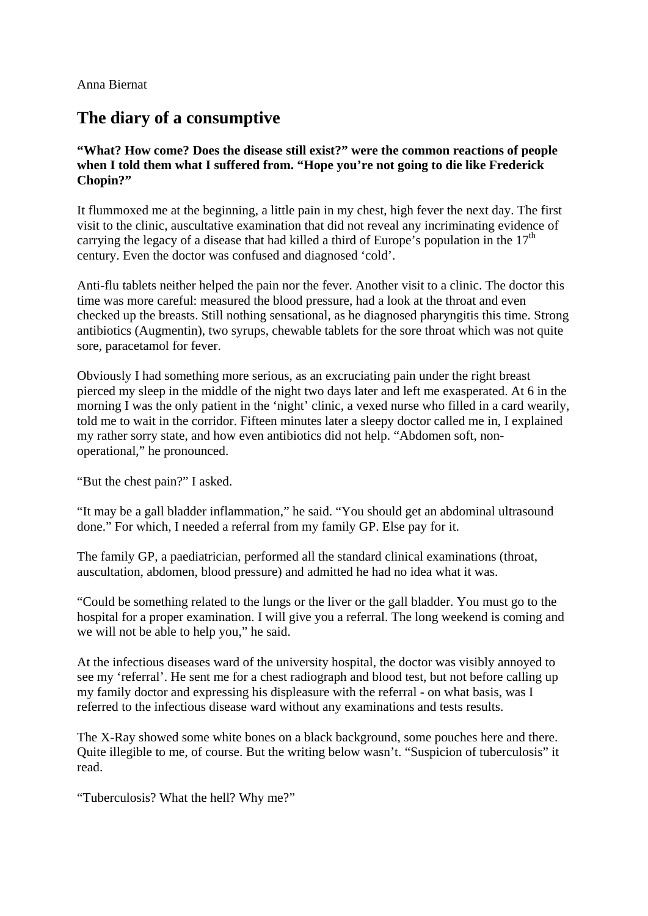Anna Biernat

## **The diary of a consumptive**

**"What? How come? Does the disease still exist?" were the common reactions of people when I told them what I suffered from. "Hope you're not going to die like Frederick Chopin?"** 

It flummoxed me at the beginning, a little pain in my chest, high fever the next day. The first visit to the clinic, auscultative examination that did not reveal any incriminating evidence of carrying the legacy of a disease that had killed a third of Europe's population in the  $17<sup>th</sup>$ century. Even the doctor was confused and diagnosed 'cold'.

Anti-flu tablets neither helped the pain nor the fever. Another visit to a clinic. The doctor this time was more careful: measured the blood pressure, had a look at the throat and even checked up the breasts. Still nothing sensational, as he diagnosed pharyngitis this time. Strong antibiotics (Augmentin), two syrups, chewable tablets for the sore throat which was not quite sore, paracetamol for fever.

Obviously I had something more serious, as an excruciating pain under the right breast pierced my sleep in the middle of the night two days later and left me exasperated. At 6 in the morning I was the only patient in the 'night' clinic, a vexed nurse who filled in a card wearily, told me to wait in the corridor. Fifteen minutes later a sleepy doctor called me in, I explained my rather sorry state, and how even antibiotics did not help. "Abdomen soft, nonoperational," he pronounced.

"But the chest pain?" I asked.

"It may be a gall bladder inflammation," he said. "You should get an abdominal ultrasound done." For which, I needed a referral from my family GP. Else pay for it.

The family GP, a paediatrician, performed all the standard clinical examinations (throat, auscultation, abdomen, blood pressure) and admitted he had no idea what it was.

"Could be something related to the lungs or the liver or the gall bladder. You must go to the hospital for a proper examination. I will give you a referral. The long weekend is coming and we will not be able to help you," he said.

At the infectious diseases ward of the university hospital, the doctor was visibly annoyed to see my 'referral'. He sent me for a chest radiograph and blood test, but not before calling up my family doctor and expressing his displeasure with the referral - on what basis, was I referred to the infectious disease ward without any examinations and tests results.

The X-Ray showed some white bones on a black background, some pouches here and there. Quite illegible to me, of course. But the writing below wasn't. "Suspicion of tuberculosis" it read.

"Tuberculosis? What the hell? Why me?"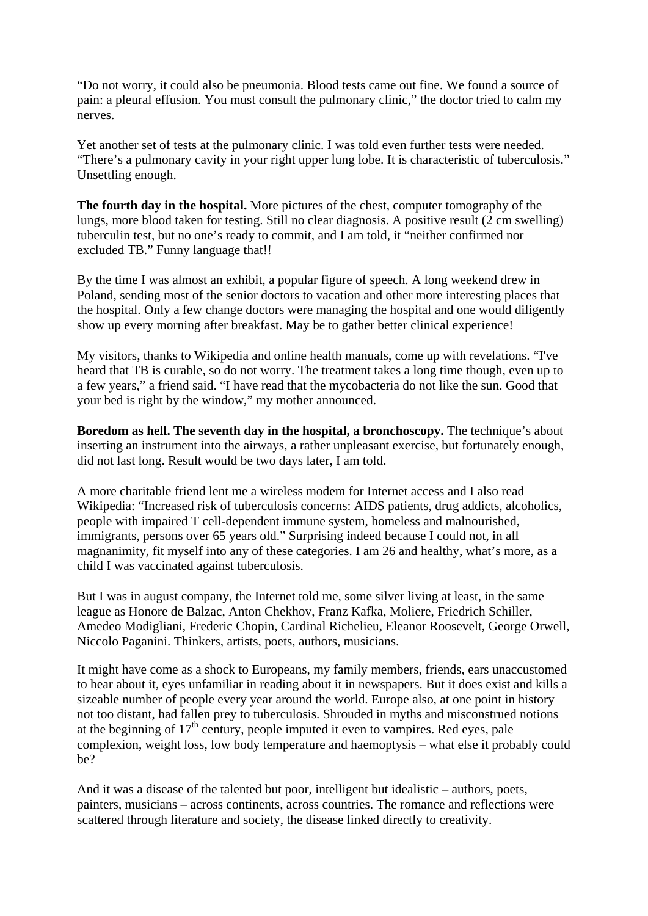"Do not worry, it could also be pneumonia. Blood tests came out fine. We found a source of pain: a pleural effusion. You must consult the pulmonary clinic," the doctor tried to calm my nerves.

Yet another set of tests at the pulmonary clinic. I was told even further tests were needed. "There's a pulmonary cavity in your right upper lung lobe. It is characteristic of tuberculosis." Unsettling enough.

**The fourth day in the hospital.** More pictures of the chest, computer tomography of the lungs, more blood taken for testing. Still no clear diagnosis. A positive result (2 cm swelling) tuberculin test, but no one's ready to commit, and I am told, it "neither confirmed nor excluded TB." Funny language that!!

By the time I was almost an exhibit, a popular figure of speech. A long weekend drew in Poland, sending most of the senior doctors to vacation and other more interesting places that the hospital. Only a few change doctors were managing the hospital and one would diligently show up every morning after breakfast. May be to gather better clinical experience!

My visitors, thanks to Wikipedia and online health manuals, come up with revelations. "I've heard that TB is curable, so do not worry. The treatment takes a long time though, even up to a few years," a friend said. "I have read that the mycobacteria do not like the sun. Good that your bed is right by the window," my mother announced.

**Boredom as hell. The seventh day in the hospital, a bronchoscopy.** The technique's about inserting an instrument into the airways, a rather unpleasant exercise, but fortunately enough, did not last long. Result would be two days later, I am told.

A more charitable friend lent me a wireless modem for Internet access and I also read Wikipedia: "Increased risk of tuberculosis concerns: AIDS patients, drug addicts, alcoholics, people with impaired T cell-dependent immune system, homeless and malnourished, immigrants, persons over 65 years old." Surprising indeed because I could not, in all magnanimity, fit myself into any of these categories. I am 26 and healthy, what's more, as a child I was vaccinated against tuberculosis.

But I was in august company, the Internet told me, some silver living at least, in the same league as Honore de Balzac, Anton Chekhov, Franz Kafka, Moliere, Friedrich Schiller, Amedeo Modigliani, Frederic Chopin, Cardinal Richelieu, Eleanor Roosevelt, George Orwell, Niccolo Paganini. Thinkers, artists, poets, authors, musicians.

It might have come as a shock to Europeans, my family members, friends, ears unaccustomed to hear about it, eyes unfamiliar in reading about it in newspapers. But it does exist and kills a sizeable number of people every year around the world. Europe also, at one point in history not too distant, had fallen prey to tuberculosis. Shrouded in myths and misconstrued notions at the beginning of  $17<sup>th</sup>$  century, people imputed it even to vampires. Red eyes, pale complexion, weight loss, low body temperature and haemoptysis – what else it probably could be?

And it was a disease of the talented but poor, intelligent but idealistic – authors, poets, painters, musicians – across continents, across countries. The romance and reflections were scattered through literature and society, the disease linked directly to creativity.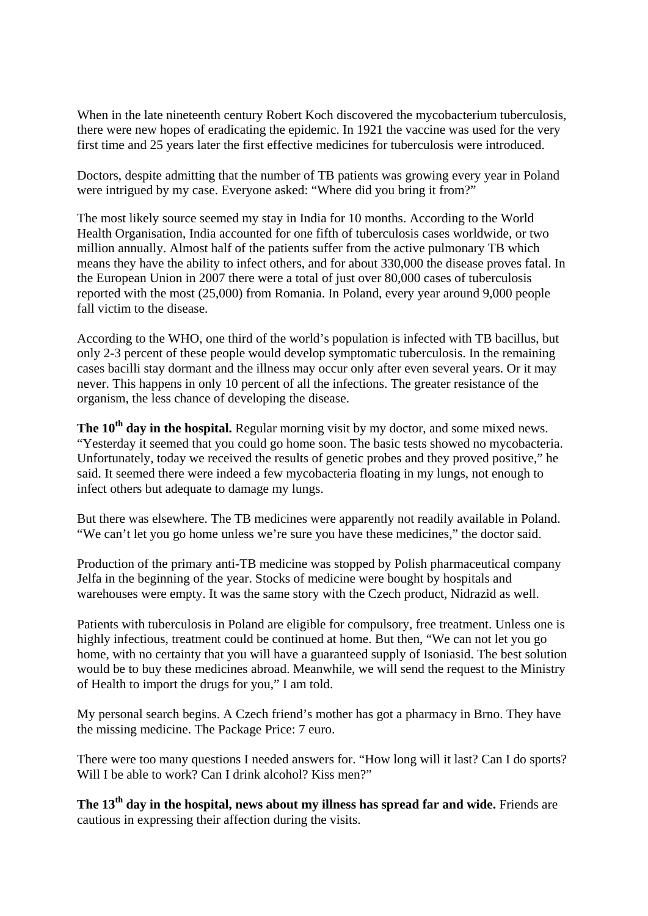When in the late nineteenth century Robert Koch discovered the mycobacterium tuberculosis, there were new hopes of eradicating the epidemic. In 1921 the vaccine was used for the very first time and 25 years later the first effective medicines for tuberculosis were introduced.

Doctors, despite admitting that the number of TB patients was growing every year in Poland were intrigued by my case. Everyone asked: "Where did you bring it from?"

The most likely source seemed my stay in India for 10 months. According to the World Health Organisation, India accounted for one fifth of tuberculosis cases worldwide, or two million annually. Almost half of the patients suffer from the active pulmonary TB which means they have the ability to infect others, and for about 330,000 the disease proves fatal. In the European Union in 2007 there were a total of just over 80,000 cases of tuberculosis reported with the most (25,000) from Romania. In Poland, every year around 9,000 people fall victim to the disease.

According to the WHO, one third of the world's population is infected with TB bacillus, but only 2-3 percent of these people would develop symptomatic tuberculosis. In the remaining cases bacilli stay dormant and the illness may occur only after even several years. Or it may never. This happens in only 10 percent of all the infections. The greater resistance of the organism, the less chance of developing the disease.

**The 10<sup>th</sup> day in the hospital.** Regular morning visit by my doctor, and some mixed news. "Yesterday it seemed that you could go home soon. The basic tests showed no mycobacteria. Unfortunately, today we received the results of genetic probes and they proved positive," he said. It seemed there were indeed a few mycobacteria floating in my lungs, not enough to infect others but adequate to damage my lungs.

But there was elsewhere. The TB medicines were apparently not readily available in Poland. "We can't let you go home unless we're sure you have these medicines," the doctor said.

Production of the primary anti-TB medicine was stopped by Polish pharmaceutical company Jelfa in the beginning of the year. Stocks of medicine were bought by hospitals and warehouses were empty. It was the same story with the Czech product, Nidrazid as well.

Patients with tuberculosis in Poland are eligible for compulsory, free treatment. Unless one is highly infectious, treatment could be continued at home. But then, "We can not let you go home, with no certainty that you will have a guaranteed supply of Isoniasid. The best solution would be to buy these medicines abroad. Meanwhile, we will send the request to the Ministry of Health to import the drugs for you," I am told.

My personal search begins. A Czech friend's mother has got a pharmacy in Brno. They have the missing medicine. The Package Price: 7 euro.

There were too many questions I needed answers for. "How long will it last? Can I do sports? Will I be able to work? Can I drink alcohol? Kiss men?"

The 13<sup>th</sup> day in the hospital, news about my illness has spread far and wide. Friends are cautious in expressing their affection during the visits.